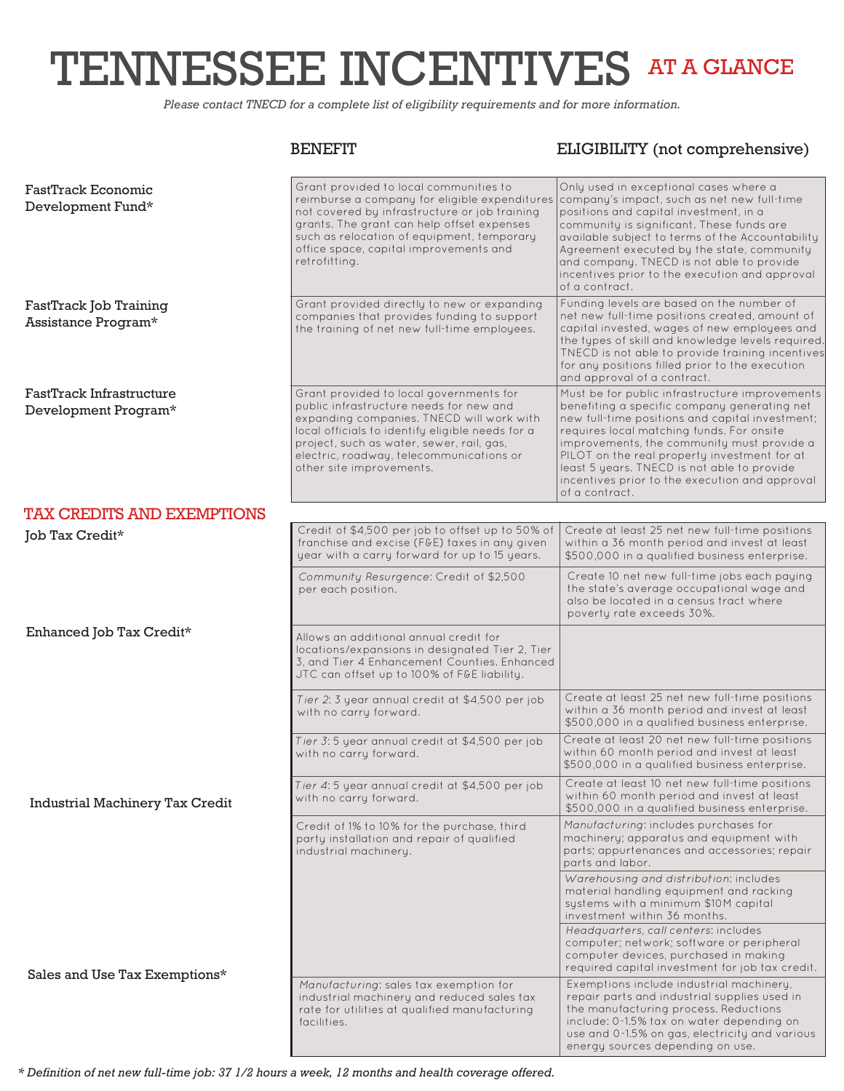# TENNESSEE INCENTIVES AT A GLANCE

*Please contact TNECD for a complete list of eligibility requirements and for more information.*

## BENEFIT ELIGIBILITY (not comprehensive)

| <b>FastTrack Economic</b><br>Development Fund*   | Grant provided to local communities to<br>reimburse a company for eligible expenditures<br>not covered by infrastructure or job training<br>grants. The grant can help offset expenses<br>such as relocation of equipment, temporary<br>office space, capital improvements and<br>retrofitting.          | Only used in exceptional cases where a<br>company's impact, such as net new full-time<br>positions and capital investment, in a<br>community is significant. These funds are<br>available subject to terms of the Accountability<br>Agreement executed by the state, community<br>and company. TNECD is not able to provide<br>incentives prior to the execution and approval<br>of a contract.                 |
|--------------------------------------------------|----------------------------------------------------------------------------------------------------------------------------------------------------------------------------------------------------------------------------------------------------------------------------------------------------------|-----------------------------------------------------------------------------------------------------------------------------------------------------------------------------------------------------------------------------------------------------------------------------------------------------------------------------------------------------------------------------------------------------------------|
| FastTrack Job Training<br>Assistance Program*    | Grant provided directly to new or expanding<br>companies that provides funding to support<br>the training of net new full-time employees.                                                                                                                                                                | Funding levels are based on the number of<br>net new full-time positions created, amount of<br>capital invested, wages of new employees and<br>the types of skill and knowledge levels required.<br>TNECD is not able to provide training incentives<br>for any positions filled prior to the execution<br>and approval of a contract.                                                                          |
| FastTrack Infrastructure<br>Development Program* | Grant provided to local governments for<br>public infrastructure needs for new and<br>expanding companies. TNECD will work with<br>local officials to identify eligible needs for a<br>project, such as water, sewer, rail, gas,<br>electric, roadway, telecommunications or<br>other site improvements. | Must be for public infrastructure improvements<br>benefiting a specific company generating net<br>new full-time positions and capital investment;<br>requires local matching funds. For onsite<br>improvements, the community must provide a<br>PILOT on the real property investment for at<br>least 5 years. TNECD is not able to provide<br>incentives prior to the execution and approval<br>of a contract. |
| <b>TAX CREDITS AND EXEMPTIONS</b>                |                                                                                                                                                                                                                                                                                                          |                                                                                                                                                                                                                                                                                                                                                                                                                 |
| Job Tax Credit*                                  | Credit of \$4,500 per job to offset up to 50% of<br>franchise and excise (FGE) taxes in any given<br>year with a carry forward for up to 15 years.                                                                                                                                                       | Create at least 25 net new full-time positions<br>within a 36 month period and invest at least<br>\$500,000 in a qualified business enterprise.                                                                                                                                                                                                                                                                 |
|                                                  | Community Resurgence: Credit of \$2,500<br>per each position.                                                                                                                                                                                                                                            | Create 10 net new full-time jobs each paying<br>the state's average occupational wage and<br>also be located in a census tract where<br>poverty rate exceeds 30%.                                                                                                                                                                                                                                               |
| Enhanced Job Tax Credit*                         | Allows an additional annual credit for<br>locations/expansions in designated Tier 2, Tier<br>3, and Tier 4 Enhancement Counties. Enhanced<br>JTC can offset up to 100% of F&E liability.                                                                                                                 |                                                                                                                                                                                                                                                                                                                                                                                                                 |
|                                                  | Tier 2: 3 year annual credit at \$4,500 per job<br>with no carry forward.                                                                                                                                                                                                                                | Create at least 25 net new full-time positions<br>within a 36 month period and invest at least<br>\$500,000 in a qualified business enterprise.                                                                                                                                                                                                                                                                 |
|                                                  | Tier 3:5 year annual credit at \$4,500 per job<br>with no carry forward.                                                                                                                                                                                                                                 | Create at least 20 net new full-time positions<br>within 60 month period and invest at least<br>\$500,000 in a qualified business enterprise.                                                                                                                                                                                                                                                                   |
| Industrial Machinery Tax Credit                  | Tier 4:5 year annual credit at \$4,500 per job<br>with no carry forward.                                                                                                                                                                                                                                 | Create at least 10 net new full-time positions<br>within 60 month period and invest at least<br>\$500,000 in a qualified business enterprise.                                                                                                                                                                                                                                                                   |
|                                                  | Credit of 1% to 10% for the purchase, third<br>party installation and repair of qualified<br>industrial machinery.                                                                                                                                                                                       | Manufacturing: includes purchases for<br>machinery; apparatus and equipment with<br>parts; appurtenances and accessories; repair<br>parts and labor.                                                                                                                                                                                                                                                            |
|                                                  |                                                                                                                                                                                                                                                                                                          | Warehousing and distribution: includes<br>material handling equipment and racking<br>systems with a minimum \$10M capital<br>investment within 36 months.                                                                                                                                                                                                                                                       |
|                                                  |                                                                                                                                                                                                                                                                                                          | Headquarters, call centers: includes<br>computer; network; software or peripheral<br>computer devices, purchased in making<br>required capital investment for job tax credit.                                                                                                                                                                                                                                   |
| Sales and Use Tax Exemptions*                    | Manufacturing: sales tax exemption for<br>industrial machinery and reduced sales tax<br>rate for utilities at qualified manufacturing<br>facilities.                                                                                                                                                     | Exemptions include industrial machinery,<br>repair parts and industrial supplies used in<br>the manufacturing process. Reductions<br>include: 0-1.5% tax on water depending on<br>use and 0-1.5% on gas, electricity and various<br>energy sources depending on use.                                                                                                                                            |

*\* Definition of net new full-time job: 37 1/2 hours a week, 12 months and health coverage offered.*